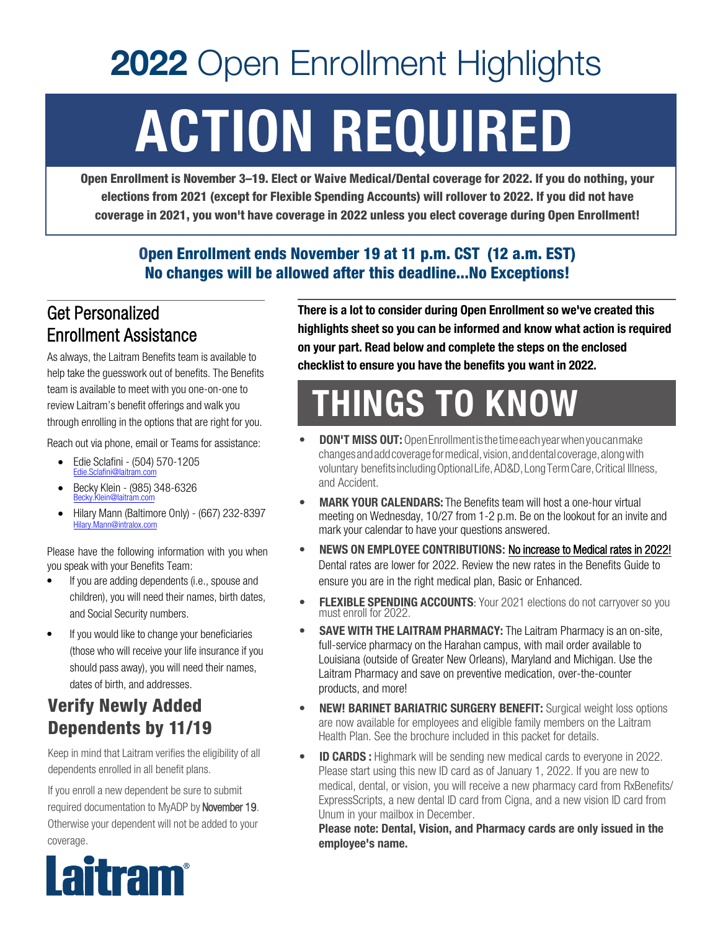# **2022** Open Enrollment Highlights ACTION REQUIRED

Open Enrollment is November 3–19. Elect or Waive Medical/Dental coverage for 2022. If you do nothing, your elections from 2021 (except for Flexible Spending Accounts) will rollover to 2022. If you did not have coverage in 2021, you won't have coverage in 2022 unless you elect coverage during Open Enrollment!

#### Open Enrollment ends November 19 at 11 p.m. CST (12 a.m. EST) No changes will be allowed after this deadline...No Exceptions!

#### Get Personalized Enrollment Assistance

As always, the Laitram Benefits team is available to help take the guesswork out of benefits. The Benefits team is available to meet with you one-on-one to review Laitram's benefit offerings and walk you through enrolling in the options that are right for you.

Reach out via phone, email or Teams for assistance:

- Edie Sclafini (504) 570-1205 Edie.Sclafini@laitram.com
- Becky Klein (985) 348-6326 Becky.Klein@laitram.com
- Hilary Mann (Baltimore Only) (667) 232-8397 Hilary.Mann@intralox.com

Please have the following information with you when you speak with your Benefits Team:

- If you are adding dependents (i.e., spouse and children), you will need their names, birth dates, and Social Security numbers.
- If you would like to change your beneficiaries (those who will receive your life insurance if you should pass away), you will need their names, dates of birth, and addresses.

### Verify Newly Added Dependents by 11/19

Keep in mind that Laitram verifies the eligibility of all dependents enrolled in all benefit plans.

If you enroll a new dependent be sure to submit required documentation to MyADP by November 19. Otherwise your dependent will not be added to your coverage.



There is a lot to consider during Open Enrollment so we've created this highlights sheet so you can be informed and know what action is required on your part. Read below and complete the steps on the enclosed checklist to ensure you have the benefits you want in 2022.

## THINGS TO KNOW

- **DON'T MISS OUT:** Open Enrollment is the time each year when you can make changes and add coverage for medical, vision,and dental coverage, along with voluntary benefits including Optional Life, AD&D, Long Term Care, Critical Illness, and Accident.
- **MARK YOUR CALENDARS:** The Benefits team will host a one-hour virtual meeting on Wednesday, 10/27 from 1-2 p.m. Be on the lookout for an invite and mark your calendar to have your questions answered.
- NEWS ON EMPLOYEE CONTRIBUTIONS: No increase to Medical rates in 2022! Dental rates are lower for 2022. Review the new rates in the Benefits Guide to ensure you are in the right medical plan, Basic or Enhanced.
- FLEXIBLE SPENDING ACCOUNTS: Your 2021 elections do not carryover so you must enroll for 2022.
- SAVE WITH THE LAITRAM PHARMACY: The Laitram Pharmacy is an on-site, full-service pharmacy on the Harahan campus, with mail order available to Louisiana (outside of Greater New Orleans), Maryland and Michigan. Use the Laitram Pharmacy and save on preventive medication, over-the-counter products, and more!
- NEW! BARINET BARIATRIC SURGERY BENEFIT: Surgical weight loss options are now available for employees and eligible family members on the Laitram Health Plan. See the brochure included in this packet for details.
- **ID CARDS :** Highmark will be sending new medical cards to everyone in 2022. Please start using this new ID card as of January 1, 2022. If you are new to medical, dental, or vision, you will receive a new pharmacy card from RxBenefits/ ExpressScripts, a new dental ID card from Cigna, and a new vision ID card from Unum in your mailbox in December.

Please note: Dental, Vision, and Pharmacy cards are only issued in the employee's name.